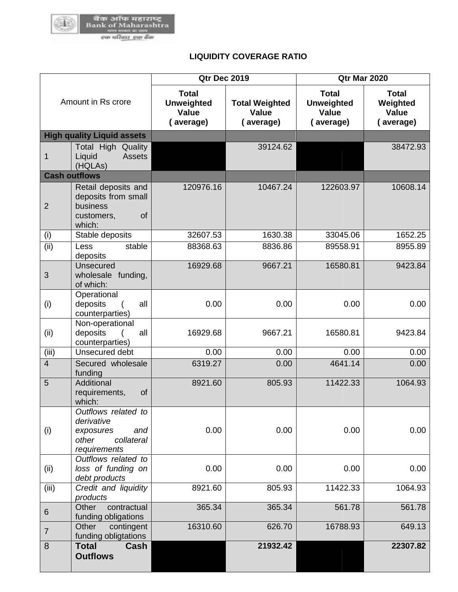

## **LIQUIDITY COVERAGE RATIO**

| Amount in Rs crore   |                                                                                              | <b>Qtr Dec 2019</b>                                            |                                                    | <b>Qtr Mar 2020</b>                                            |                                                       |  |
|----------------------|----------------------------------------------------------------------------------------------|----------------------------------------------------------------|----------------------------------------------------|----------------------------------------------------------------|-------------------------------------------------------|--|
|                      |                                                                                              | <b>Total</b><br><b>Unweighted</b><br><b>Value</b><br>(average) | <b>Total Weighted</b><br><b>Value</b><br>(average) | <b>Total</b><br><b>Unweighted</b><br><b>Value</b><br>(average) | <b>Total</b><br>Weighted<br><b>Value</b><br>(average) |  |
|                      | <b>High quality Liquid assets</b>                                                            |                                                                |                                                    |                                                                |                                                       |  |
| 1                    | <b>Total High Quality</b><br><b>Assets</b><br>Liquid<br>(HQLAs)                              |                                                                | 39124.62                                           |                                                                | 38472.93                                              |  |
| <b>Cash outflows</b> |                                                                                              |                                                                |                                                    |                                                                |                                                       |  |
| $\overline{2}$       | Retail deposits and<br>deposits from small<br>business<br>of<br>customers,<br>which:         | 120976.16                                                      | 10467.24                                           | 122603.97                                                      | 10608.14                                              |  |
| (i)                  | Stable deposits                                                                              | 32607.53                                                       | 1630.38                                            | 33045.06                                                       | 1652.25                                               |  |
| (ii)                 | Less<br>stable<br>deposits                                                                   | 88368.63                                                       | 8836.86                                            | 89558.91                                                       | 8955.89                                               |  |
| 3                    | Unsecured<br>wholesale funding,<br>of which:                                                 | 16929.68                                                       | 9667.21                                            | 16580.81                                                       | 9423.84                                               |  |
| (i)                  | Operational<br>deposits<br>all<br>counterparties)                                            | 0.00                                                           | 0.00                                               | 0.00                                                           | 0.00                                                  |  |
| (ii)                 | Non-operational<br>deposits<br>all<br>counterparties)                                        | 16929.68                                                       | 9667.21                                            | 16580.81                                                       | 9423.84                                               |  |
| (iii)                | Unsecured debt                                                                               | 0.00                                                           | 0.00                                               | 0.00                                                           | 0.00                                                  |  |
| $\overline{4}$       | Secured wholesale<br>funding                                                                 | 6319.27                                                        | 0.00                                               | 4641.14                                                        | 0.00                                                  |  |
| 5                    | Additional<br>requirements,<br>of<br>which:                                                  | 8921.60                                                        | 805.93                                             | 11422.33                                                       | 1064.93                                               |  |
| (i)                  | Outflows related to<br>derivative<br>and<br>exposures<br>other<br>collateral<br>requirements | 0.00                                                           | 0.00                                               | 0.00                                                           | 0.00                                                  |  |
| (ii)                 | Outflows related to<br>loss of funding on<br>debt products                                   | 0.00                                                           | 0.00                                               | 0.00                                                           | 0.00                                                  |  |
| (iii)                | Credit and liquidity<br>products                                                             | 8921.60                                                        | 805.93                                             | 11422.33                                                       | 1064.93                                               |  |
| $6\phantom{1}$       | Other<br>contractual<br>funding obligations                                                  | 365.34                                                         | 365.34                                             | 561.78                                                         | 561.78                                                |  |
| $\overline{7}$       | Other<br>contingent<br>funding obligtations                                                  | 16310.60                                                       | 626.70                                             | 16788.93                                                       | 649.13                                                |  |
| 8                    | <b>Total</b><br>Cash<br><b>Outflows</b>                                                      |                                                                | 21932.42                                           |                                                                | 22307.82                                              |  |